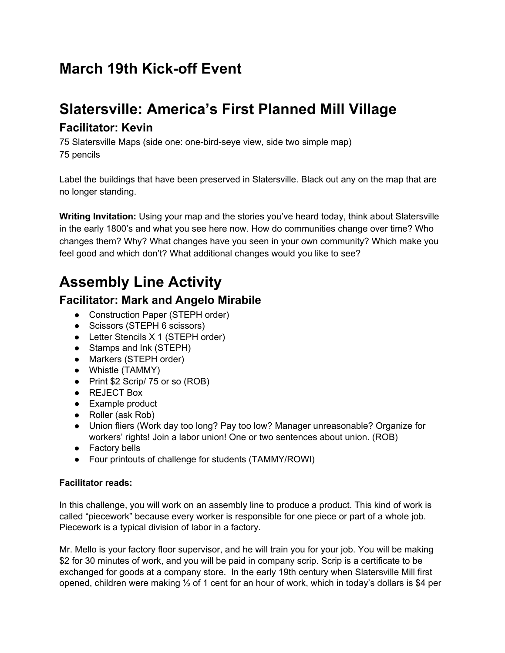## **March 19th Kick-off Event**

## **Slatersville: America's First Planned Mill Village**

### **Facilitator: Kevin**

75 Slatersville Maps (side one: one-bird-seye view, side two simple map) 75 pencils

Label the buildings that have been preserved in Slatersville. Black out any on the map that are no longer standing.

**Writing Invitation:** Using your map and the stories you've heard today, think about Slatersville in the early 1800's and what you see here now. How do communities change over time? Who changes them? Why? What changes have you seen in your own community? Which make you feel good and which don't? What additional changes would you like to see?

# **Assembly Line Activity**

### **Facilitator: Mark and Angelo Mirabile**

- Construction Paper (STEPH order)
- Scissors (STEPH 6 scissors)
- Letter Stencils X 1 (STEPH order)
- Stamps and Ink (STEPH)
- Markers (STEPH order)
- Whistle (TAMMY)
- Print \$2 Scrip/ 75 or so (ROB)
- REJECT Box
- Example product
- Roller (ask Rob)
- Union fliers (Work day too long? Pay too low? Manager unreasonable? Organize for workers' rights! Join a labor union! One or two sentences about union. (ROB)
- Factory bells
- Four printouts of challenge for students (TAMMY/ROWI)

### **Facilitator reads:**

In this challenge, you will work on an assembly line to produce a product. This kind of work is called "piecework" because every worker is responsible for one piece or part of a whole job. Piecework is a typical division of labor in a factory.

Mr. Mello is your factory floor supervisor, and he will train you for your job. You will be making \$2 for 30 minutes of work, and you will be paid in company scrip. Scrip is a certificate to be exchanged for goods at a company store. In the early 19th century when Slatersville Mill first opened, children were making ½ of 1 cent for an hour of work, which in today's dollars is \$4 per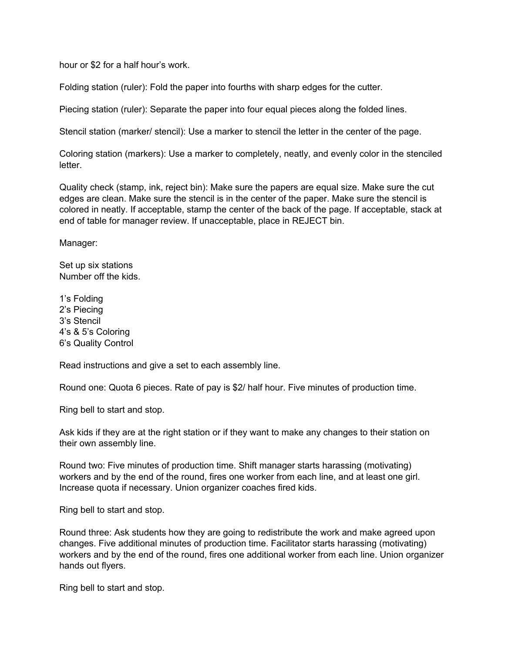hour or \$2 for a half hour's work.

Folding station (ruler): Fold the paper into fourths with sharp edges for the cutter.

Piecing station (ruler): Separate the paper into four equal pieces along the folded lines.

Stencil station (marker/ stencil): Use a marker to stencil the letter in the center of the page.

Coloring station (markers): Use a marker to completely, neatly, and evenly color in the stenciled letter.

Quality check (stamp, ink, reject bin): Make sure the papers are equal size. Make sure the cut edges are clean. Make sure the stencil is in the center of the paper. Make sure the stencil is colored in neatly. If acceptable, stamp the center of the back of the page. If acceptable, stack at end of table for manager review. If unacceptable, place in REJECT bin.

Manager:

Set up six stations Number off the kids.

1's Folding 2's Piecing 3's Stencil 4's & 5's Coloring 6's Quality Control

Read instructions and give a set to each assembly line.

Round one: Quota 6 pieces. Rate of pay is \$2/ half hour. Five minutes of production time.

Ring bell to start and stop.

Ask kids if they are at the right station or if they want to make any changes to their station on their own assembly line.

Round two: Five minutes of production time. Shift manager starts harassing (motivating) workers and by the end of the round, fires one worker from each line, and at least one girl. Increase quota if necessary. Union organizer coaches fired kids.

Ring bell to start and stop.

Round three: Ask students how they are going to redistribute the work and make agreed upon changes. Five additional minutes of production time. Facilitator starts harassing (motivating) workers and by the end of the round, fires one additional worker from each line. Union organizer hands out flyers.

Ring bell to start and stop.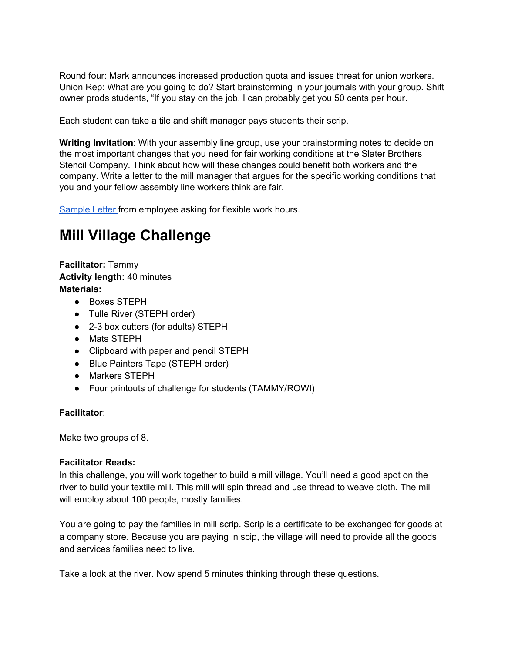Round four: Mark announces increased production quota and issues threat for union workers. Union Rep: What are you going to do? Start brainstorming in your journals with your group. Shift owner prods students, "If you stay on the job, I can probably get you 50 cents per hour.

Each student can take a tile and shift manager pays students their scrip.

**Writing Invitation**: With your assembly line group, use your brainstorming notes to decide on the most important changes that you need for fair working conditions at the Slater Brothers Stencil Company. Think about how will these changes could benefit both workers and the company. Write a letter to the mill manager that argues for the specific working conditions that you and your fellow assembly line workers think are fair.

[Sample](http://www.fsunion.org.au/Upload/Request-for-flexible-working-arrangements-example-letters.pdf) Letter from employee asking for flexible work hours.

## **Mill Village Challenge**

**Facilitator:** Tammy **Activity length:** 40 minutes **Materials:**

- Boxes STEPH
- Tulle River (STEPH order)
- 2-3 box cutters (for adults) STEPH
- Mats STEPH
- Clipboard with paper and pencil STEPH
- Blue Painters Tape (STEPH order)
- Markers STEPH
- Four printouts of challenge for students (TAMMY/ROWI)

#### **Facilitator**:

Make two groups of 8.

#### **Facilitator Reads:**

In this challenge, you will work together to build a mill village. You'll need a good spot on the river to build your textile mill. This mill will spin thread and use thread to weave cloth. The mill will employ about 100 people, mostly families.

You are going to pay the families in mill scrip. Scrip is a certificate to be exchanged for goods at a company store. Because you are paying in scip, the village will need to provide all the goods and services families need to live.

Take a look at the river. Now spend 5 minutes thinking through these questions.